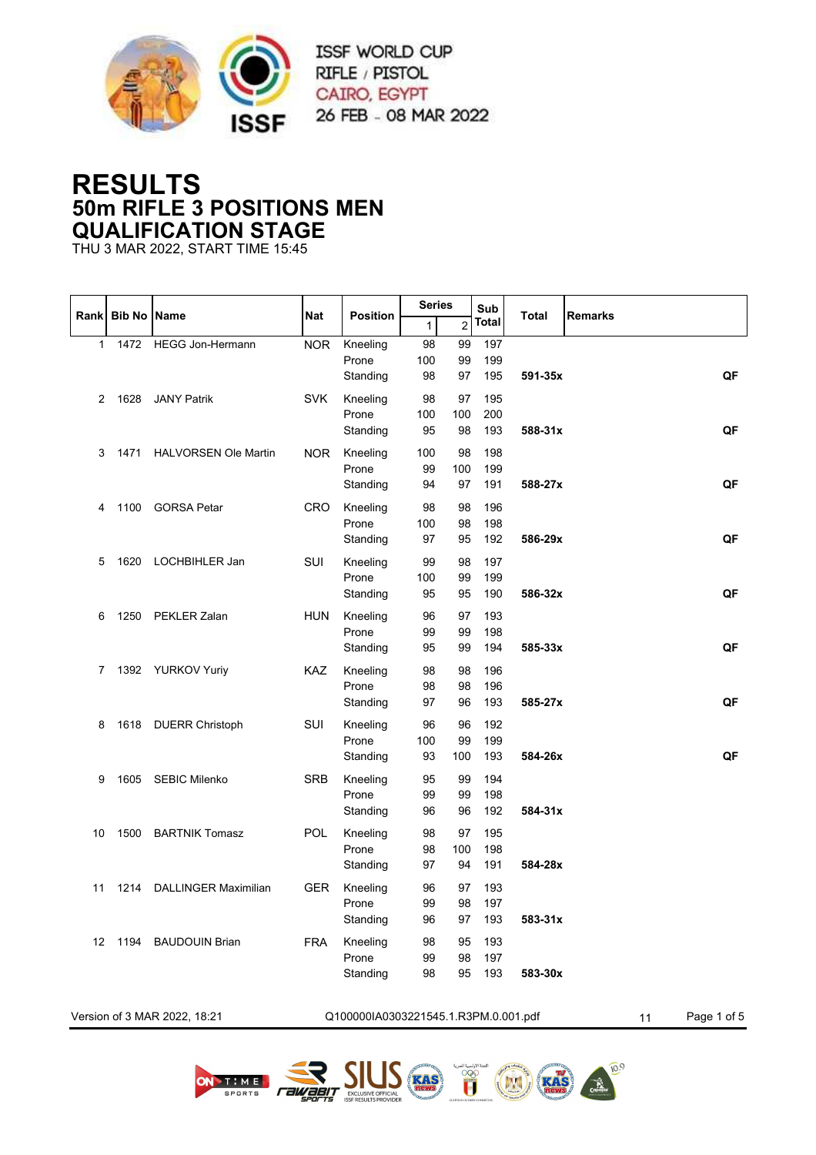

## **RESULTS 50m RIFLE 3 POSITIONS MEN QUALIFICATION STAGE**

THU 3 MAR 2022, START TIME 15:45

|              |                    |                              |            |                                      | <b>Series</b>   |                 | Sub               |              |                   |
|--------------|--------------------|------------------------------|------------|--------------------------------------|-----------------|-----------------|-------------------|--------------|-------------------|
| Rank         | <b>Bib No Name</b> |                              | <b>Nat</b> | <b>Position</b>                      | $\mathbf{1}$    | $\overline{c}$  | Total             | <b>Total</b> | <b>Remarks</b>    |
| $\mathbf{1}$ | 1472               | <b>HEGG Jon-Hermann</b>      | <b>NOR</b> | Kneeling<br>Prone<br>Standing        | 98<br>100<br>98 | 99<br>99<br>97  | 197<br>199<br>195 | 591-35x      | QF                |
| 2            | 1628               | <b>JANY Patrik</b>           | <b>SVK</b> | Kneeling<br>Prone<br>Standing        | 98<br>100<br>95 | 97<br>100<br>98 | 195<br>200<br>193 | 588-31x      | QF                |
| 3            | 1471               | <b>HALVORSEN Ole Martin</b>  | <b>NOR</b> | Kneeling<br>Prone<br>Standing        | 100<br>99<br>94 | 98<br>100<br>97 | 198<br>199<br>191 | 588-27x      | QF                |
| 4            | 1100               | <b>GORSA Petar</b>           | <b>CRO</b> | Kneeling<br>Prone<br>Standing        | 98<br>100<br>97 | 98<br>98<br>95  | 196<br>198<br>192 | 586-29x      | QF                |
| 5            | 1620               | LOCHBIHLER Jan               | SUI        | Kneeling<br>Prone<br>Standing        | 99<br>100<br>95 | 98<br>99<br>95  | 197<br>199<br>190 | 586-32x      | QF                |
| 6            | 1250               | PEKLER Zalan                 | <b>HUN</b> | Kneeling<br>Prone<br>Standing        | 96<br>99<br>95  | 97<br>99<br>99  | 193<br>198<br>194 | 585-33x      | QF                |
| 7            |                    | 1392 YURKOV Yuriy            | KAZ        | Kneeling<br>Prone<br>Standing        | 98<br>98<br>97  | 98<br>98<br>96  | 196<br>196<br>193 | 585-27x      | QF                |
| 8            |                    | 1618 DUERR Christoph         | SUI        | Kneeling<br>Prone<br>Standing        | 96<br>100<br>93 | 96<br>99<br>100 | 192<br>199<br>193 | 584-26x      | QF                |
| 9            | 1605               | <b>SEBIC Milenko</b>         | <b>SRB</b> | Kneeling<br>Prone<br>Standing        | 95<br>99<br>96  | 99<br>99<br>96  | 194<br>198<br>192 | 584-31x      |                   |
| 10           | 1500               | <b>BARTNIK Tomasz</b>        | POL        | Kneeling<br>Prone<br>Standing        | 98<br>98<br>97  | 97<br>100<br>94 | 195<br>198<br>191 | 584-28x      |                   |
| 11           | 1214               | <b>DALLINGER Maximilian</b>  | <b>GER</b> | Kneeling<br>Prone<br>Standing        | 96<br>99<br>96  | 97<br>98<br>97  | 193<br>197<br>193 | 583-31x      |                   |
|              |                    | 12 1194 BAUDOUIN Brian       | <b>FRA</b> | Kneeling<br>Prone<br>Standing        | 98<br>99<br>98  | 95<br>98<br>95  | 193<br>197<br>193 | 583-30x      |                   |
|              |                    | Version of 3 MAR 2022, 18:21 |            | Q100000IA0303221545.1.R3PM.0.001.pdf |                 |                 |                   |              | Page 1 of 5<br>11 |









**RAS**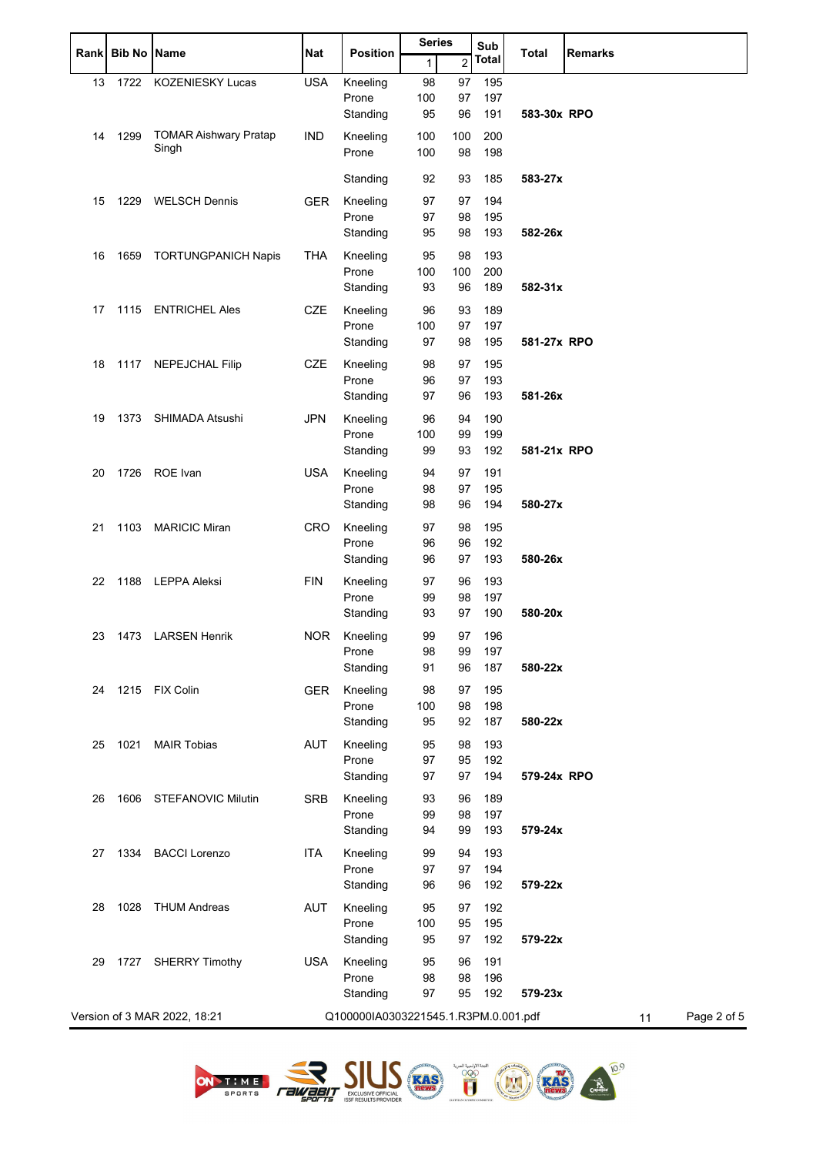|    | Rank Bib No Name |                              | <b>Nat</b> | <b>Position</b>                      | <b>Series</b> |                | Sub          | <b>Total</b> | <b>Remarks</b>    |
|----|------------------|------------------------------|------------|--------------------------------------|---------------|----------------|--------------|--------------|-------------------|
|    |                  |                              |            |                                      | $\mathbf{1}$  | $\overline{2}$ | <b>Total</b> |              |                   |
| 13 | 1722             | <b>KOZENIESKY Lucas</b>      | <b>USA</b> | Kneeling                             | 98            | 97             | 195          |              |                   |
|    |                  |                              |            | Prone                                | 100           | 97             | 197          |              |                   |
|    |                  |                              |            | Standing                             | 95            | 96             | 191          | 583-30x RPO  |                   |
| 14 | 1299             | <b>TOMAR Aishwary Pratap</b> | <b>IND</b> | Kneeling                             | 100           | 100            | 200          |              |                   |
|    |                  | Singh                        |            | Prone                                | 100           | 98             | 198          |              |                   |
|    |                  |                              |            | Standing                             | 92            | 93             | 185          | 583-27x      |                   |
| 15 | 1229             | <b>WELSCH Dennis</b>         | <b>GER</b> | Kneeling                             | 97            | 97             | 194          |              |                   |
|    |                  |                              |            | Prone                                | 97            | 98             | 195          |              |                   |
|    |                  |                              |            | Standing                             | 95            | 98             | 193          | 582-26x      |                   |
| 16 | 1659             | <b>TORTUNGPANICH Napis</b>   | <b>THA</b> | Kneeling                             | 95            | 98             | 193          |              |                   |
|    |                  |                              |            | Prone                                | 100           | 100            | 200          |              |                   |
|    |                  |                              |            | Standing                             | 93            | 96             | 189          | 582-31x      |                   |
| 17 |                  | 1115 ENTRICHEL Ales          | <b>CZE</b> | Kneeling                             | 96            | 93             | 189          |              |                   |
|    |                  |                              |            | Prone                                | 100           | 97             | 197          |              |                   |
|    |                  |                              |            | Standing                             | 97            | 98             | 195          | 581-27x RPO  |                   |
| 18 |                  | 1117 NEPEJCHAL Filip         | <b>CZE</b> | Kneeling                             | 98            | 97             | 195          |              |                   |
|    |                  |                              |            | Prone                                | 96            | 97             | 193          |              |                   |
|    |                  |                              |            | Standing                             | 97            | 96             | 193          | 581-26x      |                   |
| 19 |                  | 1373 SHIMADA Atsushi         | <b>JPN</b> | Kneeling                             | 96            | 94             | 190          |              |                   |
|    |                  |                              |            | Prone                                | 100           | 99             | 199          |              |                   |
|    |                  |                              |            | Standing                             | 99            | 93             | 192          | 581-21x RPO  |                   |
| 20 |                  | 1726 ROE Ivan                | <b>USA</b> | Kneeling                             | 94            | 97             | 191          |              |                   |
|    |                  |                              |            | Prone                                | 98            | 97             | 195          |              |                   |
|    |                  |                              |            | Standing                             | 98            | 96             | 194          | 580-27x      |                   |
| 21 | 1103             | <b>MARICIC Miran</b>         | <b>CRO</b> | Kneeling                             | 97            | 98             | 195          |              |                   |
|    |                  |                              |            | Prone                                | 96            | 96             | 192          |              |                   |
|    |                  |                              |            | Standing                             | 96            | 97             | 193          | 580-26x      |                   |
| 22 |                  | 1188 LEPPA Aleksi            | <b>FIN</b> | Kneeling                             | 97            | 96             | 193          |              |                   |
|    |                  |                              |            | Prone                                | 99            | 98             | 197          |              |                   |
|    |                  |                              |            | Standing                             | 93            | 97             | 190          | 580-20x      |                   |
| 23 |                  | 1473 LARSEN Henrik           | NOR.       | Kneeling                             | 99            | 97             | 196          |              |                   |
|    |                  |                              |            | Prone                                | 98            | 99             | 197          |              |                   |
|    |                  |                              |            | Standing                             | 91            | 96             | 187          | 580-22x      |                   |
| 24 |                  | 1215 FIX Colin               | <b>GER</b> | Kneeling                             | 98            | 97             | 195          |              |                   |
|    |                  |                              |            | Prone                                | 100           | 98             | 198          |              |                   |
|    |                  |                              |            | Standing                             | 95            | 92             | 187          | 580-22x      |                   |
| 25 | 1021             | <b>MAIR Tobias</b>           | <b>AUT</b> | Kneeling                             | 95            | 98             | 193          |              |                   |
|    |                  |                              |            | Prone                                | 97            | 95             | 192          |              |                   |
|    |                  |                              |            | Standing                             | 97            | 97             | 194          | 579-24x RPO  |                   |
| 26 |                  | 1606 STEFANOVIC Milutin      | <b>SRB</b> | Kneeling                             | 93            | 96             | 189          |              |                   |
|    |                  |                              |            | Prone                                | 99            | 98             | 197          |              |                   |
|    |                  |                              |            | Standing                             | 94            | 99             | 193          | 579-24x      |                   |
| 27 |                  | 1334 BACCI Lorenzo           | <b>ITA</b> | Kneeling                             | 99            | 94             | 193          |              |                   |
|    |                  |                              |            | Prone                                | 97            | 97             | 194          |              |                   |
|    |                  |                              |            | Standing                             | 96            | 96             | 192          | 579-22x      |                   |
| 28 | 1028             | THUM Andreas                 | <b>AUT</b> | Kneeling                             | 95            | 97             | 192          |              |                   |
|    |                  |                              |            | Prone                                | 100           | 95             | 195          |              |                   |
|    |                  |                              |            | Standing                             | 95            | 97             | 192          | 579-22x      |                   |
| 29 |                  | 1727 SHERRY Timothy          | <b>USA</b> | Kneeling                             | 95            | 96             | 191          |              |                   |
|    |                  |                              |            | Prone                                | 98            | 98             | 196          |              |                   |
|    |                  |                              |            | Standing                             | 97            | 95             | 192          | 579-23x      |                   |
|    |                  | Version of 3 MAR 2022, 18:21 |            | Q100000IA0303221545.1.R3PM.0.001.pdf |               |                |              |              | Page 2 of 5<br>11 |
|    |                  |                              |            |                                      |               |                |              |              |                   |





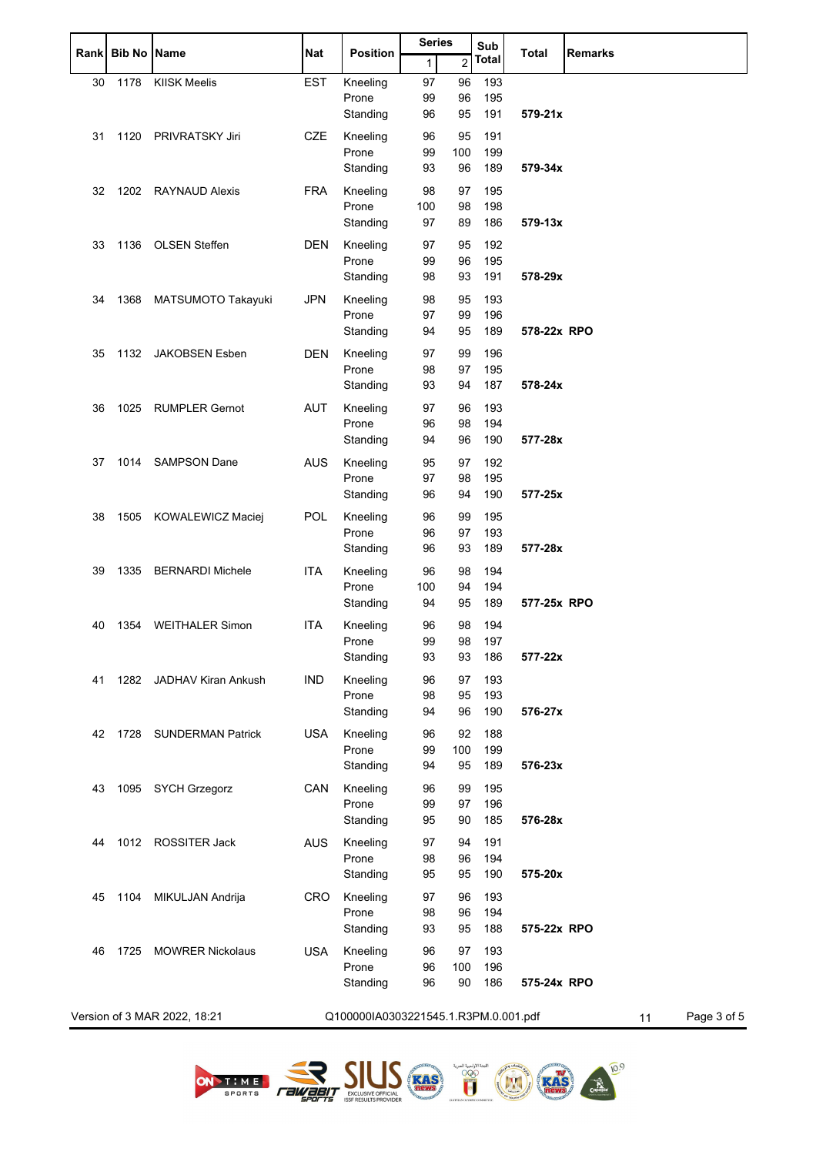| <b>Rank</b> | <b>Bib No Name</b> |                              | <b>Series</b><br><b>Position</b><br>Nat |                                      |              | Sub<br><b>Total</b> |              | <b>Remarks</b> |                   |
|-------------|--------------------|------------------------------|-----------------------------------------|--------------------------------------|--------------|---------------------|--------------|----------------|-------------------|
|             |                    |                              |                                         |                                      | $\mathbf{1}$ | $\overline{2}$      | <b>Total</b> |                |                   |
| 30          | 1178               | <b>KIISK Meelis</b>          | <b>EST</b>                              | Kneeling                             | 97           | 96                  | 193          |                |                   |
|             |                    |                              |                                         | Prone                                | 99           | 96                  | 195          |                |                   |
|             |                    |                              |                                         | Standing                             | 96           | 95                  | 191          | 579-21x        |                   |
| 31          | 1120               | <b>PRIVRATSKY Jiri</b>       | <b>CZE</b>                              | Kneeling                             | 96           | 95                  | 191          |                |                   |
|             |                    |                              |                                         | Prone<br>Standing                    | 99<br>93     | 100<br>96           | 199<br>189   | 579-34x        |                   |
|             |                    |                              |                                         |                                      |              |                     |              |                |                   |
| 32          |                    | 1202 RAYNAUD Alexis          | <b>FRA</b>                              | Kneeling<br>Prone                    | 98<br>100    | 97<br>98            | 195<br>198   |                |                   |
|             |                    |                              |                                         | Standing                             | 97           | 89                  | 186          | 579-13x        |                   |
| 33          | 1136               | OLSEN Steffen                | <b>DEN</b>                              | Kneeling                             | 97           | 95                  | 192          |                |                   |
|             |                    |                              |                                         | Prone                                | 99           | 96                  | 195          |                |                   |
|             |                    |                              |                                         | Standing                             | 98           | 93                  | 191          | 578-29x        |                   |
| 34          | 1368               | MATSUMOTO Takayuki           | <b>JPN</b>                              | Kneeling                             | 98           | 95                  | 193          |                |                   |
|             |                    |                              |                                         | Prone                                | 97           | 99                  | 196          |                |                   |
|             |                    |                              |                                         | Standing                             | 94           | 95                  | 189          | 578-22x RPO    |                   |
| 35          | 1132               | JAKOBSEN Esben               | DEN                                     | Kneeling                             | 97           | 99                  | 196          |                |                   |
|             |                    |                              |                                         | Prone                                | 98           | 97                  | 195          |                |                   |
|             |                    |                              |                                         | Standing                             | 93           | 94                  | 187          | 578-24x        |                   |
| 36          | 1025               | <b>RUMPLER Gernot</b>        | <b>AUT</b>                              | Kneeling                             | 97           | 96                  | 193          |                |                   |
|             |                    |                              |                                         | Prone                                | 96           | 98                  | 194          |                |                   |
|             |                    |                              |                                         | Standing                             | 94           | 96                  | 190          | 577-28x        |                   |
| 37          | 1014               | <b>SAMPSON Dane</b>          | <b>AUS</b>                              | Kneeling                             | 95           | 97                  | 192          |                |                   |
|             |                    |                              |                                         | Prone                                | 97           | 98                  | 195          |                |                   |
|             |                    |                              |                                         | Standing                             | 96           | 94                  | 190          | 577-25x        |                   |
| 38          | 1505               | KOWALEWICZ Maciej            | POL                                     | Kneeling                             | 96           | 99                  | 195          |                |                   |
|             |                    |                              |                                         | Prone<br>Standing                    | 96<br>96     | 97<br>93            | 193<br>189   | 577-28x        |                   |
|             |                    |                              |                                         |                                      |              |                     |              |                |                   |
| 39          | 1335               | <b>BERNARDI Michele</b>      | <b>ITA</b>                              | Kneeling<br>Prone                    | 96<br>100    | 98<br>94            | 194<br>194   |                |                   |
|             |                    |                              |                                         | Standing                             | 94           | 95                  | 189          | 577-25x RPO    |                   |
| 40          | 1354               | <b>WEITHALER Simon</b>       | <b>ITA</b>                              | Kneeling                             | 96           | 98                  | 194          |                |                   |
|             |                    |                              |                                         | Prone                                | 99           | 98                  | 197          |                |                   |
|             |                    |                              |                                         | Standing                             | 93           | 93                  | 186          | 577-22x        |                   |
| 41          | 1282               | <b>JADHAV Kiran Ankush</b>   | <b>IND</b>                              | Kneeling                             | 96           | 97                  | 193          |                |                   |
|             |                    |                              |                                         | Prone                                | 98           | 95                  | 193          |                |                   |
|             |                    |                              |                                         | Standing                             | 94           | 96                  | 190          | 576-27x        |                   |
| 42          | 1728               | <b>SUNDERMAN Patrick</b>     | <b>USA</b>                              | Kneeling                             | 96           | 92                  | 188          |                |                   |
|             |                    |                              |                                         | Prone                                | 99           | 100                 | 199          |                |                   |
|             |                    |                              |                                         | Standing                             | 94           | 95                  | 189          | 576-23x        |                   |
| 43          | 1095               | <b>SYCH Grzegorz</b>         | CAN                                     | Kneeling                             | 96           | 99                  | 195          |                |                   |
|             |                    |                              |                                         | Prone                                | 99           | 97                  | 196          |                |                   |
|             |                    |                              |                                         | Standing                             | 95           | 90                  | 185          | 576-28x        |                   |
| 44          |                    | 1012 ROSSITER Jack           | <b>AUS</b>                              | Kneeling                             | 97           | 94                  | 191          |                |                   |
|             |                    |                              |                                         | Prone                                | 98           | 96                  | 194<br>190   |                |                   |
|             |                    |                              |                                         | Standing                             | 95           | 95                  |              | 575-20x        |                   |
| 45          | 1104               | MIKULJAN Andrija             | <b>CRO</b>                              | Kneeling<br>Prone                    | 97<br>98     | 96<br>96            | 193<br>194   |                |                   |
|             |                    |                              |                                         | Standing                             | 93           | 95                  | 188          | 575-22x RPO    |                   |
|             |                    |                              | <b>USA</b>                              |                                      | 96           |                     |              |                |                   |
| 46          | 1725               | <b>MOWRER Nickolaus</b>      |                                         | Kneeling<br>Prone                    | 96           | 97<br>100           | 193<br>196   |                |                   |
|             |                    |                              |                                         | Standing                             | 96           | 90                  | 186          | 575-24x RPO    |                   |
|             |                    |                              |                                         |                                      |              |                     |              |                |                   |
|             |                    | Version of 3 MAR 2022, 18:21 |                                         | Q100000IA0303221545.1.R3PM.0.001.pdf |              |                     |              |                | Page 3 of 5<br>11 |





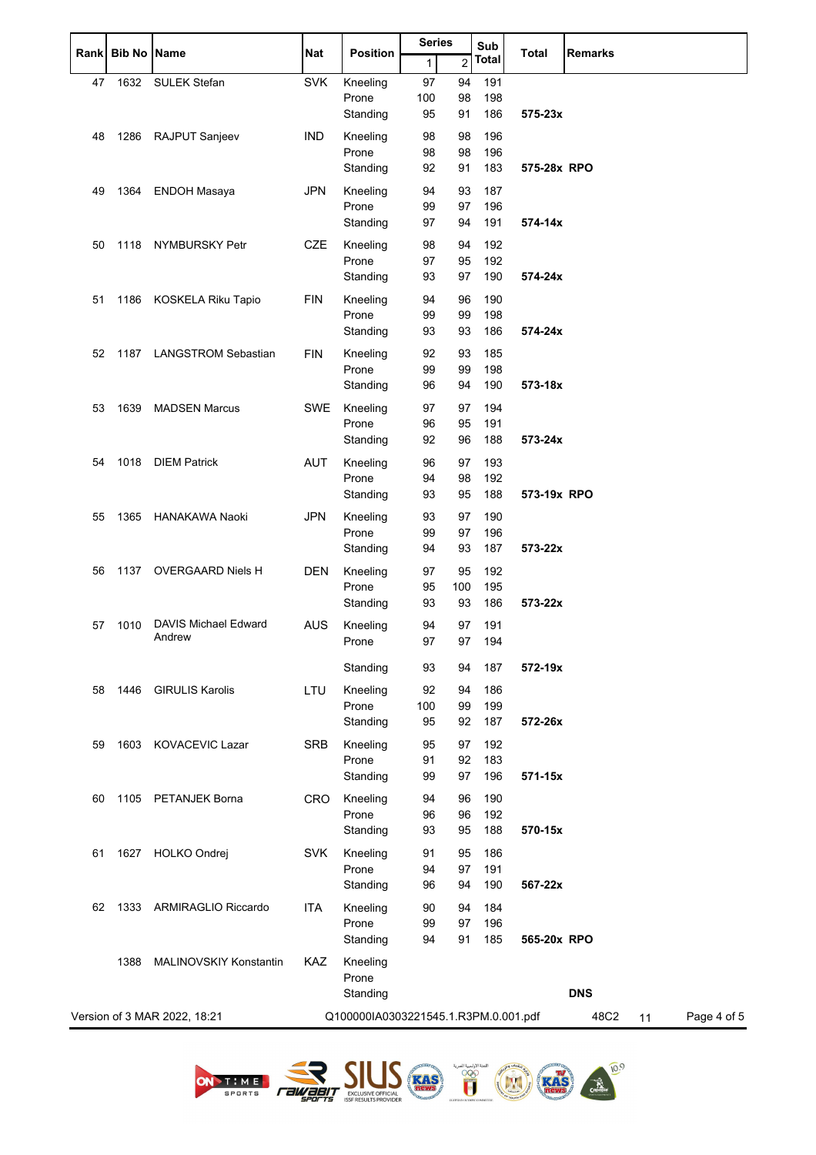|    | Rank Bib No | <b>Name</b>                   | Nat        | <b>Position</b>                      | <b>Series</b> |                | Sub          | <b>Total</b> | <b>Remarks</b>            |
|----|-------------|-------------------------------|------------|--------------------------------------|---------------|----------------|--------------|--------------|---------------------------|
|    |             |                               |            |                                      | $\mathbf{1}$  | $\overline{c}$ | <b>Total</b> |              |                           |
| 47 | 1632        | <b>SULEK Stefan</b>           | <b>SVK</b> | Kneeling                             | 97            | 94             | 191          |              |                           |
|    |             |                               |            | Prone<br>Standing                    | 100<br>95     | 98<br>91       | 198<br>186   | 575-23x      |                           |
| 48 | 1286        | RAJPUT Sanjeev                | <b>IND</b> | Kneeling                             | 98            | 98             | 196          |              |                           |
|    |             |                               |            | Prone                                | 98            | 98             | 196          |              |                           |
|    |             |                               |            | Standing                             | 92            | 91             | 183          | 575-28x RPO  |                           |
| 49 | 1364        | <b>ENDOH Masaya</b>           | <b>JPN</b> | Kneeling                             | 94            | 93             | 187          |              |                           |
|    |             |                               |            | Prone                                | 99            | 97             | 196          |              |                           |
|    |             |                               |            | Standing                             | 97            | 94             | 191          | 574-14x      |                           |
| 50 | 1118        | NYMBURSKY Petr                | <b>CZE</b> | Kneeling                             | 98            | 94             | 192          |              |                           |
|    |             |                               |            | Prone                                | 97            | 95             | 192          |              |                           |
|    |             |                               |            | Standing                             | 93            | 97             | 190          | 574-24x      |                           |
| 51 | 1186        | KOSKELA Riku Tapio            | <b>FIN</b> | Kneeling                             | 94            | 96             | 190          |              |                           |
|    |             |                               |            | Prone                                | 99            | 99             | 198          |              |                           |
|    |             |                               |            | Standing                             | 93            | 93             | 186          | 574-24x      |                           |
| 52 | 1187        | <b>LANGSTROM Sebastian</b>    | <b>FIN</b> | Kneeling                             | 92            | 93             | 185          |              |                           |
|    |             |                               |            | Prone                                | 99            | 99             | 198          |              |                           |
|    |             |                               |            | Standing                             | 96            | 94             | 190          | 573-18x      |                           |
| 53 | 1639        | <b>MADSEN Marcus</b>          | <b>SWE</b> | Kneeling                             | 97            | 97             | 194          |              |                           |
|    |             |                               |            | Prone                                | 96            | 95             | 191          |              |                           |
|    |             |                               |            | Standing                             | 92            | 96             | 188          | 573-24x      |                           |
| 54 | 1018        | <b>DIEM Patrick</b>           | <b>AUT</b> | Kneeling                             | 96            | 97             | 193          |              |                           |
|    |             |                               |            | Prone                                | 94            | 98             | 192          |              |                           |
|    |             |                               |            | Standing                             | 93            | 95             | 188          | 573-19x RPO  |                           |
| 55 | 1365        | HANAKAWA Naoki                | <b>JPN</b> | Kneeling                             | 93            | 97             | 190          |              |                           |
|    |             |                               |            | Prone                                | 99            | 97             | 196          |              |                           |
|    |             |                               |            | Standing                             | 94            | 93             | 187          | 573-22x      |                           |
| 56 | 1137        | <b>OVERGAARD Niels H</b>      | <b>DEN</b> | Kneeling                             | 97            | 95             | 192          |              |                           |
|    |             |                               |            | Prone                                | 95            | 100            | 195          |              |                           |
|    |             |                               |            | Standing                             | 93            | 93             | 186          | 573-22x      |                           |
| 57 | 1010        | <b>DAVIS Michael Edward</b>   | <b>AUS</b> | Kneeling                             | 94            | 97             | 191          |              |                           |
|    |             | Andrew                        |            | Prone                                | 97            | 97             | 194          |              |                           |
|    |             |                               |            | Standing                             | 93            | 94             | 187          | 572-19x      |                           |
| 58 | 1446        | <b>GIRULIS Karolis</b>        | LTU        | Kneeling                             | 92            | 94             | 186          |              |                           |
|    |             |                               |            | Prone                                | 100           | 99             | 199          |              |                           |
|    |             |                               |            | Standing                             | 95            | 92             | 187          | 572-26x      |                           |
| 59 |             | 1603 KOVACEVIC Lazar          | <b>SRB</b> | Kneeling                             | 95            | 97             | 192          |              |                           |
|    |             |                               |            | Prone                                | 91            | 92             | 183          |              |                           |
|    |             |                               |            | Standing                             | 99            | 97             | 196          | 571-15x      |                           |
| 60 | 1105        | PETANJEK Borna                | <b>CRO</b> | Kneeling                             | 94            | 96             | 190          |              |                           |
|    |             |                               |            | Prone                                | 96            | 96             | 192          |              |                           |
|    |             |                               |            | Standing                             | 93            | 95             | 188          | 570-15x      |                           |
| 61 | 1627        | HOLKO Ondrej                  | <b>SVK</b> | Kneeling                             | 91            | 95             | 186          |              |                           |
|    |             |                               |            | Prone                                | 94            | 97             | 191          |              |                           |
|    |             |                               |            | Standing                             | 96            | 94             | 190          | 567-22x      |                           |
| 62 | 1333        | ARMIRAGLIO Riccardo           | <b>ITA</b> | Kneeling                             | 90            | 94             | 184          |              |                           |
|    |             |                               |            | Prone                                | 99            | 97             | 196          |              |                           |
|    |             |                               |            | Standing                             | 94            | 91             | 185          | 565-20x RPO  |                           |
|    | 1388        | <b>MALINOVSKIY Konstantin</b> | KAZ        | Kneeling                             |               |                |              |              |                           |
|    |             |                               |            | Prone                                |               |                |              |              |                           |
|    |             |                               |            | Standing                             |               |                |              |              | <b>DNS</b>                |
|    |             | Version of 3 MAR 2022, 18:21  |            | Q100000IA0303221545.1.R3PM.0.001.pdf |               |                |              |              | 48C2<br>Page 4 of 5<br>11 |
|    |             |                               |            |                                      |               |                |              |              |                           |